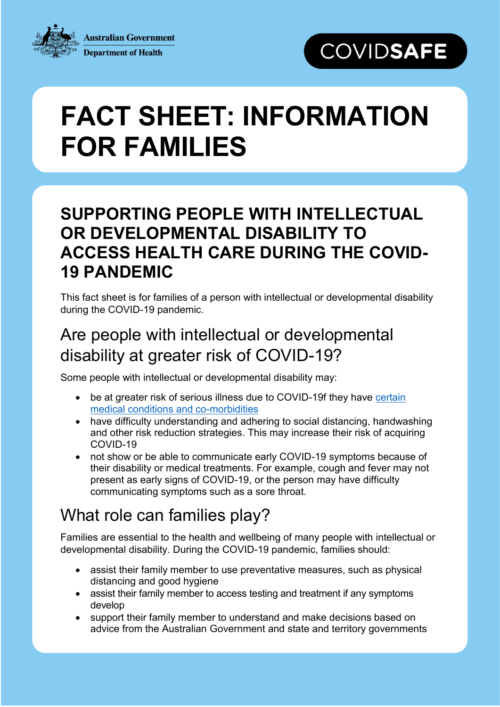**Australian Government Department of Health** 

## **COVIDSAFE**

# **FACT SHEET: INFORMATION FOR FAMILIES**

## **SUPPORTING PEOPLE WITH INTELLECTUAL OR DEVELOPMENTAL DISABILITY TO ACCESS HEALTH CARE DURING THE COVID-19 PANDEMIC**

This fact sheet is for families of a person with intellectual or developmental disability during the COVID-19 pandemic.

## Are people with intellectual or developmental disability at greater risk of COVID-19?

Some people with intellectual or developmental disability may:

- be at greater risk of serious illness due to COVID-19f they have [certain](https://www.health.gov.au/news/health-alerts/novel-coronavirus-2019-ncov-health-alert/advice-for-people-at-risk-of-coronavirus-covid-19)  [medical conditions and co-morbidities](https://www.health.gov.au/news/health-alerts/novel-coronavirus-2019-ncov-health-alert/advice-for-people-at-risk-of-coronavirus-covid-19)
- have difficulty understanding and adhering to social distancing, handwashing and other risk reduction strategies. This may increase their risk of acquiring COVID-19
- not show or be able to communicate early COVID-19 symptoms because of their disability or medical treatments. For example, cough and fever may not present as early signs of COVID-19, or the person may have difficulty communicating symptoms such as a sore throat.

## What role can families play?

Families are essential to the health and wellbeing of many people with intellectual or developmental disability. During the COVID-19 pandemic, families should:

- assist their family member to use preventative measures, such as physical distancing and good hygiene
- assist their family member to access testing and treatment if any symptoms develop
- support their family member to understand and make decisions based on advice from the Australian Government and state and territory governments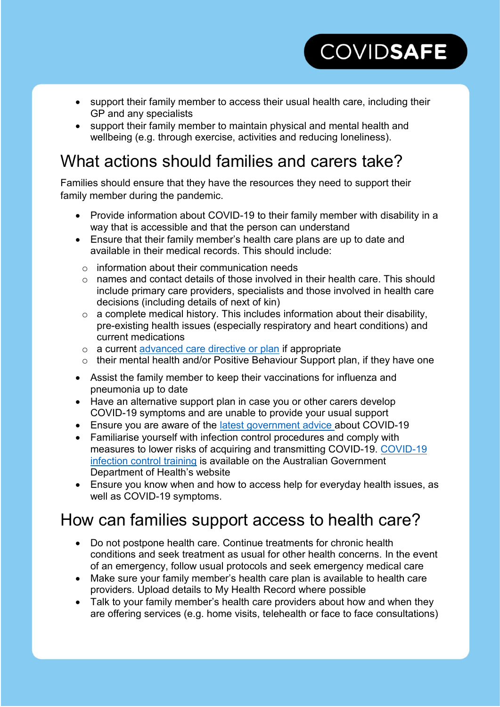support their family member to access their usual health care, including their GP and any specialists

**COVIDSAFE** 

 support their family member to maintain physical and mental health and wellbeing (e.g. through exercise, activities and reducing loneliness).

## What actions should families and carers take?

Families should ensure that they have the resources they need to support their family member during the pandemic.

- Provide information about COVID-19 to their family member with disability in a way that is accessible and that the person can understand
- Ensure that their family member's health care plans are up to date and available in their medical records. This should include:
	- o information about their communication needs
	- o names and contact details of those involved in their health care. This should include primary care providers, specialists and those involved in health care decisions (including details of next of kin)
	- $\circ$  a complete medical history. This includes information about their disability, pre-existing health issues (especially respiratory and heart conditions) and current medications
	- o a current [advanced care directive or plan](https://www.advancecareplanning.org.au/#/) if appropriate
	- o their mental health and/or Positive Behaviour Support plan, if they have one
- Assist the family member to keep their vaccinations for influenza and pneumonia up to date
- Have an alternative support plan in case you or other carers develop COVID-19 symptoms and are unable to provide your usual support
- Ensure you are aware of the [latest government advice](https://www.australia.gov.au/) about COVID-19
- Familiarise yourself with infection control procedures and comply with measures to lower risks of acquiring and transmitting COVID-19. [COVID-19](https://www.health.gov.au/resources/apps-and-tools/covid-19-infection-control-training)  [infection control training](https://www.health.gov.au/resources/apps-and-tools/covid-19-infection-control-training) is available on the Australian Government Department of Health's website
- Ensure you know when and how to access help for everyday health issues, as well as COVID-19 symptoms.

#### How can families support access to health care?

- Do not postpone health care. Continue treatments for chronic health conditions and seek treatment as usual for other health concerns. In the event of an emergency, follow usual protocols and seek emergency medical care
- Make sure your family member's health care plan is available to health care providers. Upload details to My Health Record where possible
- Talk to your family member's health care providers about how and when they are offering services (e.g. home visits, telehealth or face to face consultations)